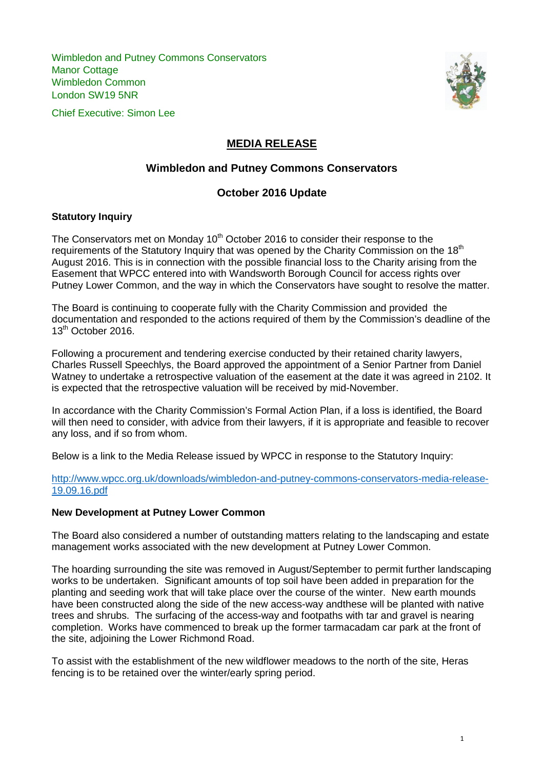Wimbledon and Putney Commons Conservators Manor Cottage Wimbledon Common London SW19 5NR





# **MEDIA RELEASE**

# **Wimbledon and Putney Commons Conservators**

### **October 2016 Update**

### **Statutory Inquiry**

The Conservators met on Monday 10<sup>th</sup> October 2016 to consider their response to the requirements of the Statutory Inquiry that was opened by the Charity Commission on the 18<sup>th</sup> August 2016. This is in connection with the possible financial loss to the Charity arising from the Easement that WPCC entered into with Wandsworth Borough Council for access rights over Putney Lower Common, and the way in which the Conservators have sought to resolve the matter.

The Board is continuing to cooperate fully with the Charity Commission and provided the documentation and responded to the actions required of them by the Commission's deadline of the  $13^{th}$  October 2016.

Following a procurement and tendering exercise conducted by their retained charity lawyers, Charles Russell Speechlys, the Board approved the appointment of a Senior Partner from Daniel Watney to undertake a retrospective valuation of the easement at the date it was agreed in 2102. It is expected that the retrospective valuation will be received by mid-November.

In accordance with the Charity Commission's Formal Action Plan, if a loss is identified, the Board will then need to consider, with advice from their lawyers, if it is appropriate and feasible to recover any loss, and if so from whom.

Below is a link to the Media Release issued by WPCC in response to the Statutory Inquiry:

[http://www.wpcc.org.uk/downloads/wimbledon-and-putney-commons-conservators-media-release-](http://www.wpcc.org.uk/downloads/wimbledon-and-putney-commons-conservators-media-release-19.09.16.pdf)[19.09.16.pdf](http://www.wpcc.org.uk/downloads/wimbledon-and-putney-commons-conservators-media-release-19.09.16.pdf)

### **New Development at Putney Lower Common**

The Board also considered a number of outstanding matters relating to the landscaping and estate management works associated with the new development at Putney Lower Common.

The hoarding surrounding the site was removed in August/September to permit further landscaping works to be undertaken. Significant amounts of top soil have been added in preparation for the planting and seeding work that will take place over the course of the winter. New earth mounds have been constructed along the side of the new access-way andthese will be planted with native trees and shrubs. The surfacing of the access-way and footpaths with tar and gravel is nearing completion. Works have commenced to break up the former tarmacadam car park at the front of the site, adjoining the Lower Richmond Road.

To assist with the establishment of the new wildflower meadows to the north of the site, Heras fencing is to be retained over the winter/early spring period.